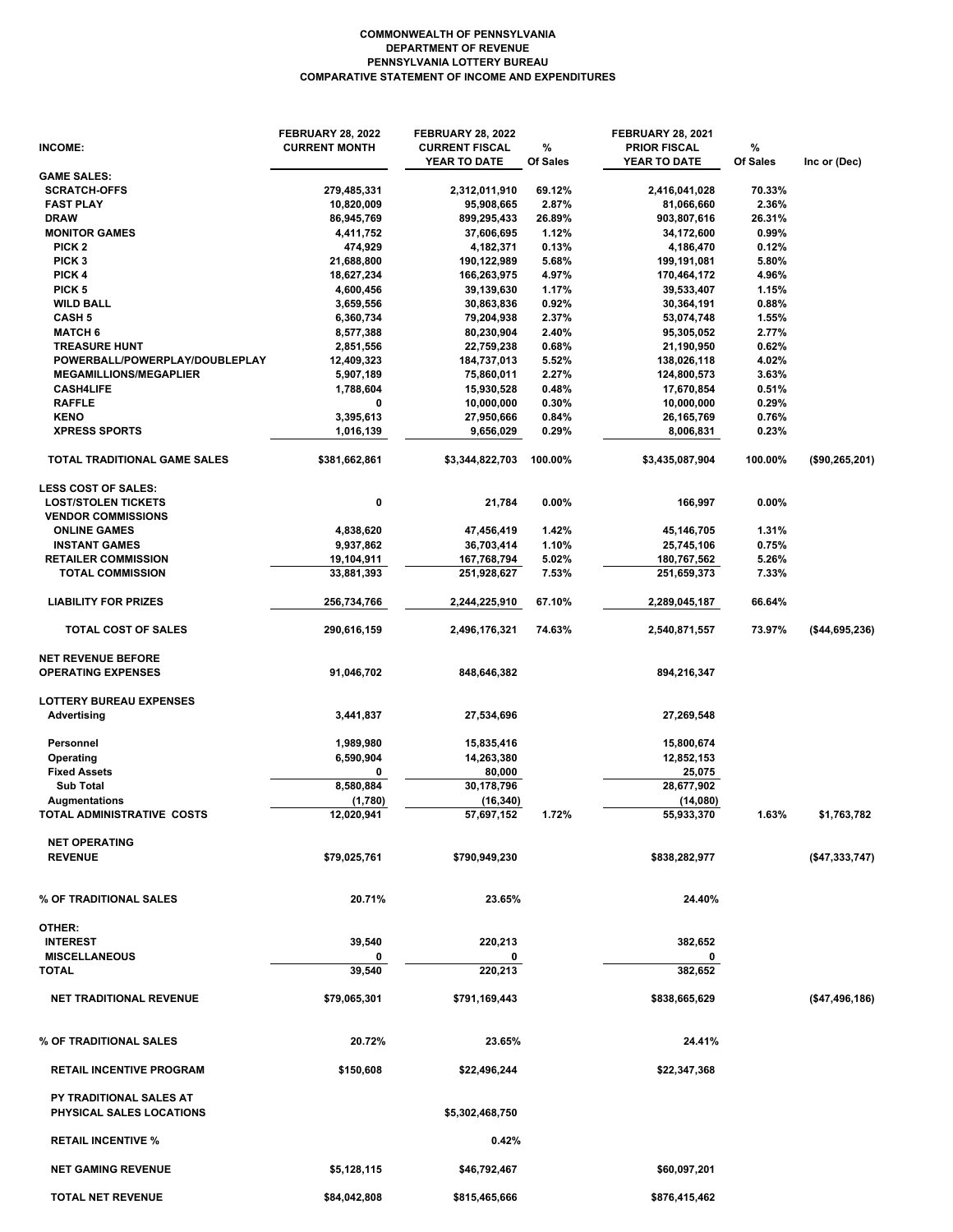## **COMPARATIVE STATEMENT OF INCOME AND EXPENDITURES PENNSYLVANIA LOTTERY BUREAU DEPARTMENT OF REVENUE COMMONWEALTH OF PENNSYLVANIA**

| INCOME:                                                | <b>FEBRUARY 28, 2022</b><br><b>CURRENT MONTH</b> | <b>FEBRUARY 28, 2022</b><br><b>CURRENT FISCAL</b><br>YEAR TO DATE | %<br>Of Sales | <b>FEBRUARY 28, 2021</b><br><b>PRIOR FISCAL</b><br>YEAR TO DATE | %<br>Of Sales | Inc or (Dec)    |
|--------------------------------------------------------|--------------------------------------------------|-------------------------------------------------------------------|---------------|-----------------------------------------------------------------|---------------|-----------------|
| <b>GAME SALES:</b>                                     |                                                  |                                                                   |               |                                                                 |               |                 |
| <b>SCRATCH-OFFS</b>                                    | 279,485,331                                      | 2,312,011,910                                                     | 69.12%        | 2,416,041,028                                                   | 70.33%        |                 |
| <b>FAST PLAY</b>                                       | 10,820,009                                       | 95,908,665                                                        | 2.87%         | 81,066,660                                                      | 2.36%         |                 |
| <b>DRAW</b>                                            | 86,945,769                                       | 899,295,433                                                       | 26.89%        | 903,807,616                                                     | 26.31%        |                 |
| <b>MONITOR GAMES</b>                                   | 4,411,752                                        | 37,606,695                                                        | 1.12%         | 34,172,600                                                      | 0.99%         |                 |
| PICK <sub>2</sub>                                      | 474,929                                          | 4,182,371                                                         | 0.13%         | 4,186,470                                                       | 0.12%         |                 |
| PICK <sub>3</sub>                                      | 21,688,800                                       | 190,122,989                                                       | 5.68%         | 199,191,081                                                     | 5.80%         |                 |
| PICK 4                                                 | 18,627,234                                       | 166,263,975                                                       | 4.97%         | 170,464,172                                                     | 4.96%         |                 |
| PICK <sub>5</sub>                                      | 4,600,456                                        | 39,139,630                                                        | 1.17%         | 39,533,407                                                      | 1.15%         |                 |
| <b>WILD BALL</b>                                       | 3,659,556                                        | 30,863,836                                                        | 0.92%         | 30,364,191                                                      | 0.88%         |                 |
| <b>CASH 5</b>                                          | 6,360,734                                        | 79,204,938                                                        | 2.37%         | 53,074,748                                                      | 1.55%         |                 |
| <b>MATCH 6</b>                                         | 8,577,388                                        | 80,230,904                                                        | 2.40%         | 95,305,052                                                      | 2.77%         |                 |
| <b>TREASURE HUNT</b>                                   | 2,851,556                                        | 22,759,238                                                        | 0.68%         | 21,190,950                                                      | 0.62%         |                 |
| POWERBALL/POWERPLAY/DOUBLEPLAY                         | 12,409,323                                       | 184,737,013                                                       | 5.52%         | 138,026,118                                                     | 4.02%         |                 |
| <b>MEGAMILLIONS/MEGAPLIER</b>                          | 5,907,189                                        | 75,860,011                                                        | 2.27%         | 124,800,573                                                     | 3.63%         |                 |
| <b>CASH4LIFE</b>                                       | 1,788,604                                        | 15,930,528                                                        | 0.48%         | 17,670,854                                                      | 0.51%         |                 |
| <b>RAFFLE</b>                                          | 0                                                | 10,000,000                                                        | 0.30%         | 10,000,000                                                      | 0.29%         |                 |
| <b>KENO</b>                                            | 3,395,613                                        | 27,950,666                                                        | 0.84%         | 26, 165, 769                                                    | 0.76%         |                 |
| <b>XPRESS SPORTS</b>                                   | 1,016,139                                        | 9,656,029                                                         | 0.29%         | 8,006,831                                                       | 0.23%         |                 |
| TOTAL TRADITIONAL GAME SALES                           | \$381,662,861                                    | \$3,344,822,703                                                   | 100.00%       | \$3,435,087,904                                                 | 100.00%       | (\$90,265,201)  |
| <b>LESS COST OF SALES:</b>                             |                                                  |                                                                   |               |                                                                 |               |                 |
| <b>LOST/STOLEN TICKETS</b>                             | 0                                                | 21,784                                                            | $0.00\%$      | 166,997                                                         | $0.00\%$      |                 |
| <b>VENDOR COMMISSIONS</b>                              |                                                  |                                                                   |               |                                                                 |               |                 |
| <b>ONLINE GAMES</b>                                    | 4,838,620                                        | 47,456,419                                                        | 1.42%         | 45,146,705                                                      | 1.31%         |                 |
| <b>INSTANT GAMES</b>                                   | 9,937,862                                        | 36,703,414                                                        | 1.10%         | 25,745,106                                                      | 0.75%         |                 |
| <b>RETAILER COMMISSION</b>                             | 19,104,911                                       | 167,768,794                                                       | 5.02%         | 180,767,562                                                     | 5.26%         |                 |
| <b>TOTAL COMMISSION</b>                                | 33,881,393                                       | 251,928,627                                                       | 7.53%         | 251,659,373                                                     | 7.33%         |                 |
| <b>LIABILITY FOR PRIZES</b>                            | 256,734,766                                      | 2,244,225,910                                                     | 67.10%        | 2,289,045,187                                                   | 66.64%        |                 |
| TOTAL COST OF SALES                                    | 290,616,159                                      | 2,496,176,321                                                     | 74.63%        | 2,540,871,557                                                   | 73.97%        | ( \$44,695,236) |
|                                                        |                                                  |                                                                   |               |                                                                 |               |                 |
| <b>NET REVENUE BEFORE</b><br><b>OPERATING EXPENSES</b> | 91,046,702                                       | 848,646,382                                                       |               | 894,216,347                                                     |               |                 |
| <b>LOTTERY BUREAU EXPENSES</b>                         |                                                  |                                                                   |               |                                                                 |               |                 |
| <b>Advertising</b>                                     | 3,441,837                                        | 27,534,696                                                        |               | 27,269,548                                                      |               |                 |
| Personnel                                              | 1,989,980                                        | 15,835,416                                                        |               | 15,800,674                                                      |               |                 |
| Operating                                              | 6,590,904                                        | 14,263,380                                                        |               | 12,852,153                                                      |               |                 |
| <b>Fixed Assets</b>                                    | 0                                                | 80,000                                                            |               | 25,075                                                          |               |                 |
| <b>Sub Total</b>                                       | 8,580,884                                        | 30,178,796                                                        |               | 28,677,902                                                      |               |                 |
| <b>Augmentations</b>                                   | (1,780)                                          | (16, 340)                                                         |               | (14,080)                                                        |               |                 |
| TOTAL ADMINISTRATIVE COSTS                             | 12,020,941                                       | 57,697,152                                                        | 1.72%         | 55,933,370                                                      | 1.63%         | \$1,763,782     |
|                                                        |                                                  |                                                                   |               |                                                                 |               |                 |
| <b>NET OPERATING</b><br><b>REVENUE</b>                 | \$79,025,761                                     | \$790,949,230                                                     |               | \$838,282,977                                                   |               | ( \$47,333,747) |
|                                                        |                                                  |                                                                   |               |                                                                 |               |                 |
| % OF TRADITIONAL SALES                                 | 20.71%                                           | 23.65%                                                            |               | 24.40%                                                          |               |                 |
| OTHER:                                                 |                                                  |                                                                   |               |                                                                 |               |                 |
| <b>INTEREST</b>                                        | 39,540                                           | 220,213                                                           |               | 382,652                                                         |               |                 |
| <b>MISCELLANEOUS</b>                                   |                                                  |                                                                   |               | 0                                                               |               |                 |
| <b>TOTAL</b>                                           | 39,540                                           | 220,213                                                           |               | 382.652                                                         |               |                 |
|                                                        |                                                  |                                                                   |               |                                                                 |               |                 |
| <b>NET TRADITIONAL REVENUE</b>                         | \$79,065,301                                     | \$791,169,443                                                     |               | \$838,665,629                                                   |               | (\$47,496,186)  |
| % OF TRADITIONAL SALES                                 | 20.72%                                           | 23.65%                                                            |               | 24.41%                                                          |               |                 |
| <b>RETAIL INCENTIVE PROGRAM</b>                        | \$150,608                                        | \$22,496,244                                                      |               | \$22,347,368                                                    |               |                 |
| PY TRADITIONAL SALES AT                                |                                                  |                                                                   |               |                                                                 |               |                 |
| PHYSICAL SALES LOCATIONS                               |                                                  | \$5,302,468,750                                                   |               |                                                                 |               |                 |
| <b>RETAIL INCENTIVE %</b>                              |                                                  | 0.42%                                                             |               |                                                                 |               |                 |
| <b>NET GAMING REVENUE</b>                              | \$5,128,115                                      | \$46,792,467                                                      |               | \$60,097,201                                                    |               |                 |
| <b>TOTAL NET REVENUE</b>                               | \$84,042,808                                     | \$815,465,666                                                     |               | \$876,415,462                                                   |               |                 |